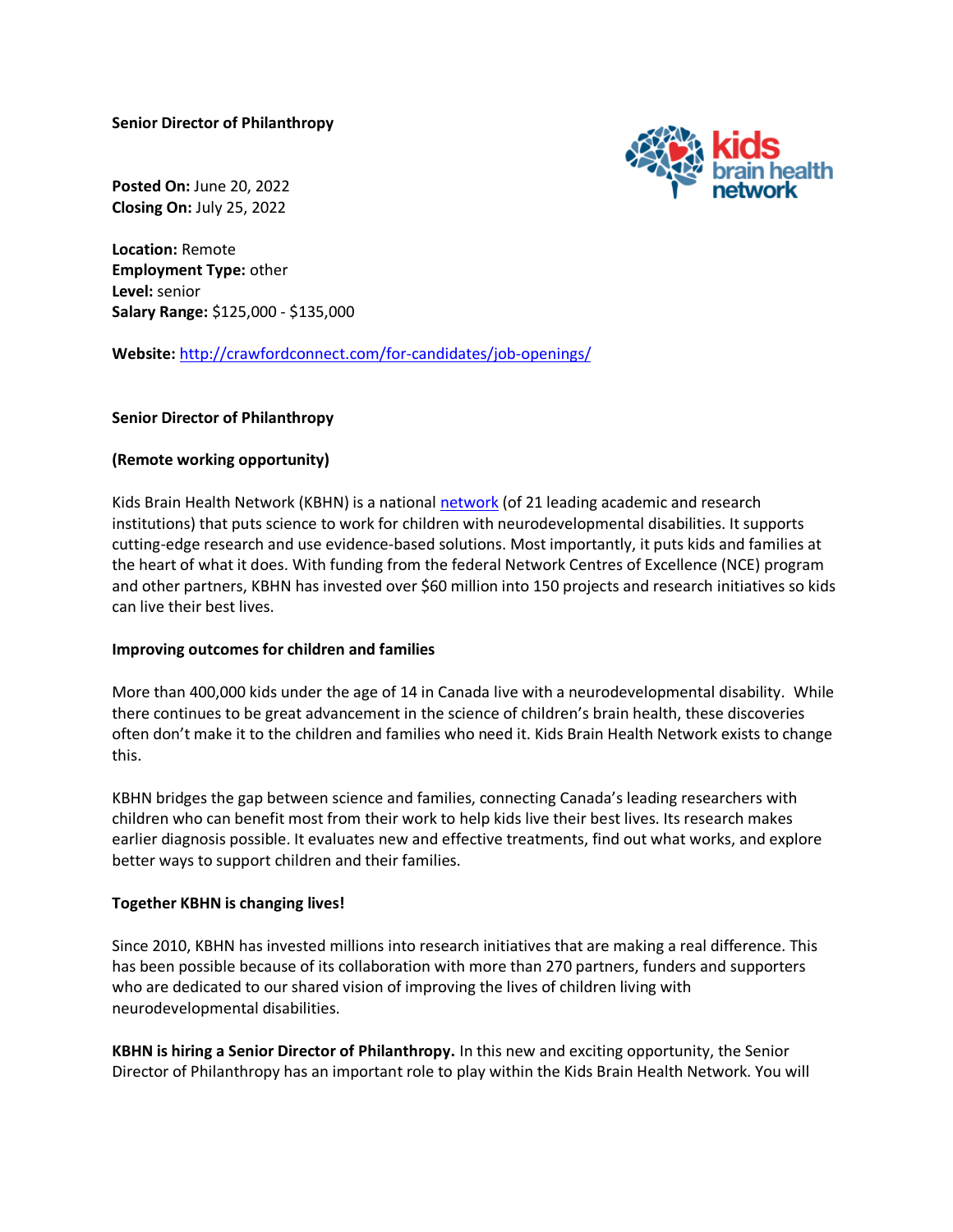**Senior Director of Philanthropy**



**Posted On:** June 20, 2022 **Closing On:** July 25, 2022

**Location:** Remote **Employment Type:** other **Level:** senior **Salary Range:** \$125,000 - \$135,000

**Website:** <http://crawfordconnect.com/for-candidates/job-openings/>

# **Senior Director of Philanthropy**

# **(Remote working opportunity)**

Kids Brain Health Network (KBHN) is a national [network](https://kidsbrainhealth.ca/index.php/what-we-do/network-members/) (of 21 leading academic and research institutions) that puts science to work for children with neurodevelopmental disabilities. It supports cutting-edge research and use evidence-based solutions. Most importantly, it puts kids and families at the heart of what it does. With funding from the federal Network Centres of Excellence (NCE) program and other partners, KBHN has invested over \$60 million into 150 projects and research initiatives so kids can live their best lives.

### **Improving outcomes for children and families**

More than 400,000 kids under the age of 14 in Canada live with a neurodevelopmental disability. While there continues to be great advancement in the science of children's brain health, these discoveries often don't make it to the children and families who need it. Kids Brain Health Network exists to change this.

KBHN bridges the gap between science and families, connecting Canada's leading researchers with children who can benefit most from their work to help kids live their best lives. Its research makes earlier diagnosis possible. It evaluates new and effective treatments, find out what works, and explore better ways to support children and their families.

### **Together KBHN is changing lives!**

Since 2010, KBHN has invested millions into research initiatives that are making a real difference. This has been possible because of its collaboration with more than 270 partners, funders and supporters who are dedicated to our shared vision of improving the lives of children living with neurodevelopmental disabilities.

**KBHN is hiring a Senior Director of Philanthropy.** In this new and exciting opportunity, the Senior Director of Philanthropy has an important role to play within the Kids Brain Health Network. You will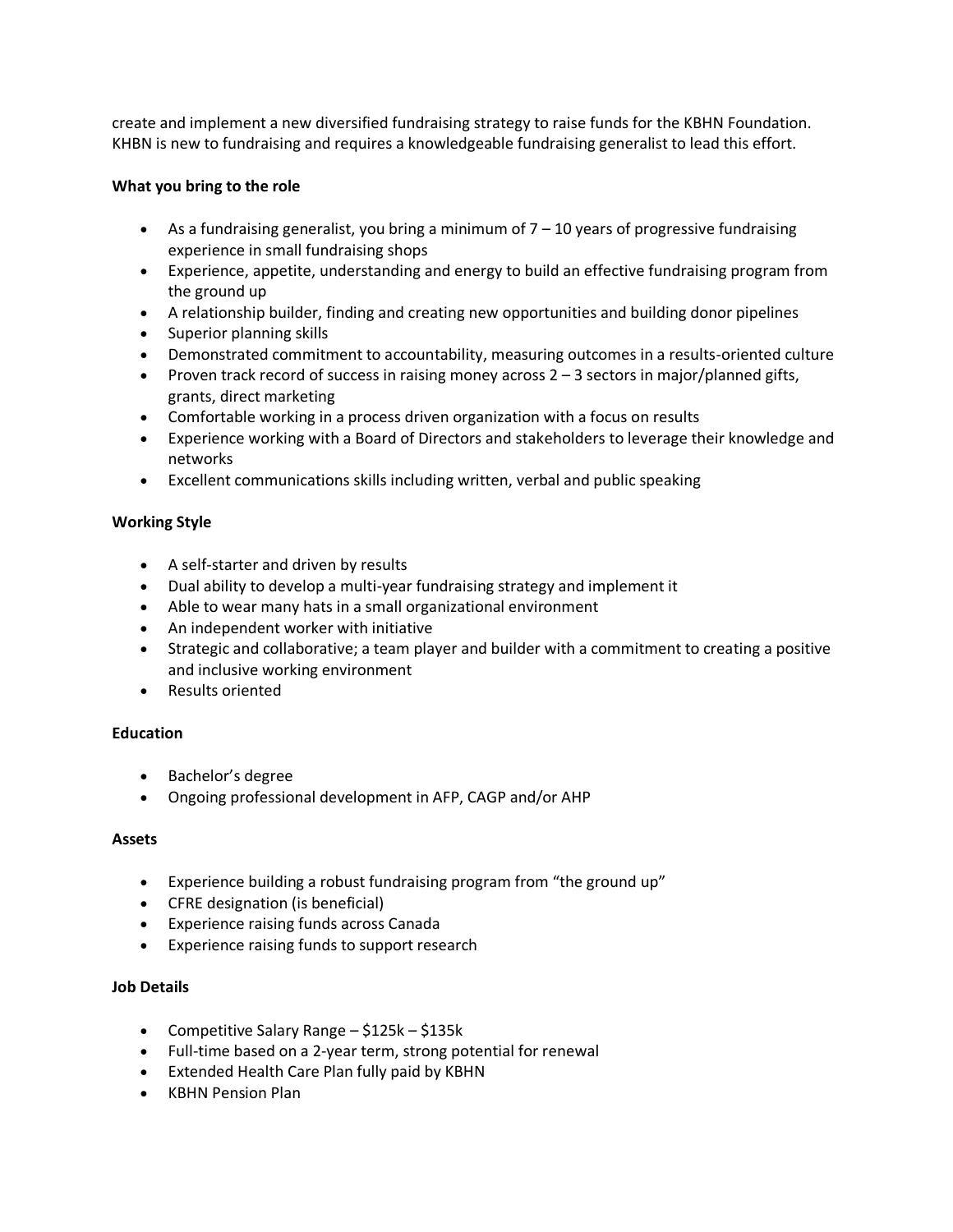create and implement a new diversified fundraising strategy to raise funds for the KBHN Foundation. KHBN is new to fundraising and requires a knowledgeable fundraising generalist to lead this effort.

## **What you bring to the role**

- As a fundraising generalist, you bring a minimum of  $7 10$  years of progressive fundraising experience in small fundraising shops
- Experience, appetite, understanding and energy to build an effective fundraising program from the ground up
- A relationship builder, finding and creating new opportunities and building donor pipelines
- Superior planning skills
- Demonstrated commitment to accountability, measuring outcomes in a results-oriented culture
- Proven track record of success in raising money across  $2 3$  sectors in major/planned gifts, grants, direct marketing
- Comfortable working in a process driven organization with a focus on results
- Experience working with a Board of Directors and stakeholders to leverage their knowledge and networks
- Excellent communications skills including written, verbal and public speaking

# **Working Style**

- A self-starter and driven by results
- Dual ability to develop a multi-year fundraising strategy and implement it
- Able to wear many hats in a small organizational environment
- An independent worker with initiative
- Strategic and collaborative; a team player and builder with a commitment to creating a positive and inclusive working environment
- Results oriented

### **Education**

- Bachelor's degree
- Ongoing professional development in AFP, CAGP and/or AHP

### **Assets**

- Experience building a robust fundraising program from "the ground up"
- CFRE designation (is beneficial)
- Experience raising funds across Canada
- Experience raising funds to support research

### **Job Details**

- Competitive Salary Range \$125k \$135k
- Full-time based on a 2-year term, strong potential for renewal
- Extended Health Care Plan fully paid by KBHN
- KBHN Pension Plan